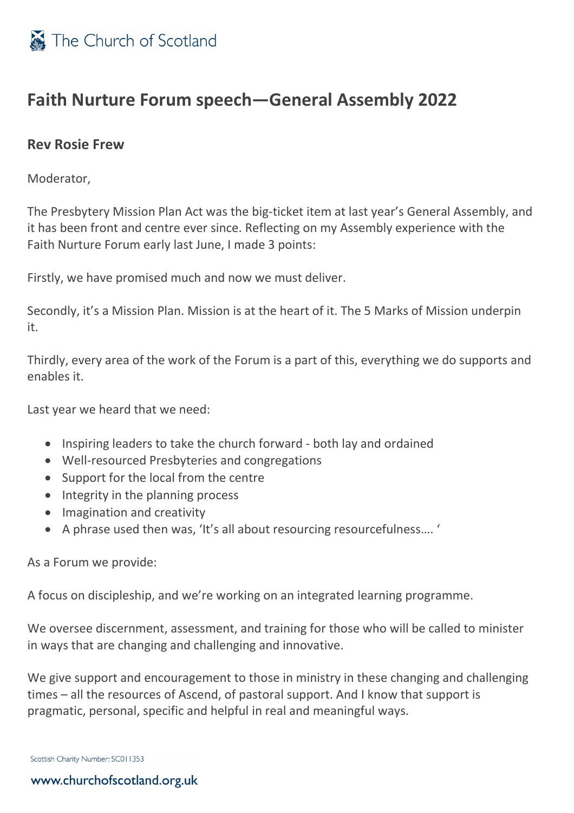

## **Faith Nurture Forum speech—General Assembly 2022**

## **Rev Rosie Frew**

Moderator,

The Presbytery Mission Plan Act was the big-ticket item at last year's General Assembly, and it has been front and centre ever since. Reflecting on my Assembly experience with the Faith Nurture Forum early last June, I made 3 points:

Firstly, we have promised much and now we must deliver.

Secondly, it's a Mission Plan. Mission is at the heart of it. The 5 Marks of Mission underpin it.

Thirdly, every area of the work of the Forum is a part of this, everything we do supports and enables it.

Last year we heard that we need:

- Inspiring leaders to take the church forward both lay and ordained
- Well-resourced Presbyteries and congregations
- Support for the local from the centre
- Integrity in the planning process
- Imagination and creativity
- A phrase used then was, 'It's all about resourcing resourcefulness…. '

As a Forum we provide:

A focus on discipleship, and we're working on an integrated learning programme.

We oversee discernment, assessment, and training for those who will be called to minister in ways that are changing and challenging and innovative.

We give support and encouragement to those in ministry in these changing and challenging times – all the resources of Ascend, of pastoral support. And I know that support is pragmatic, personal, specific and helpful in real and meaningful ways.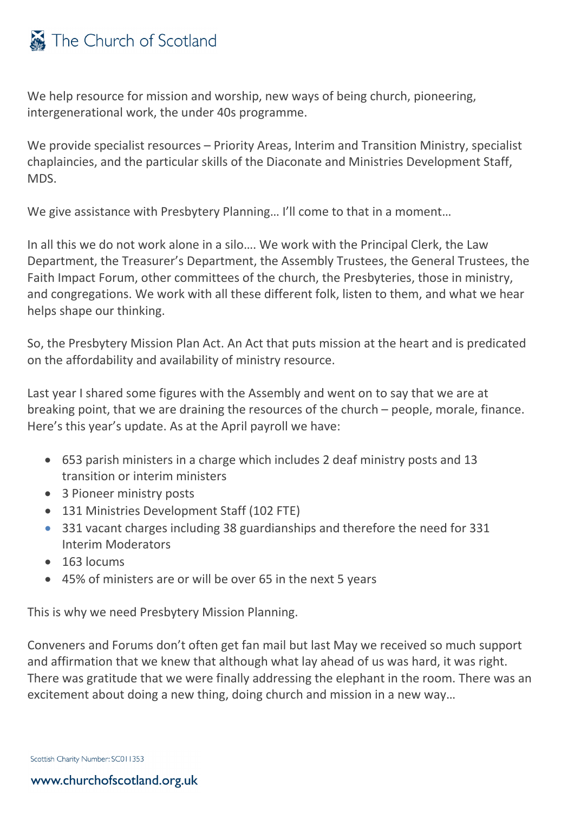## The Church of Scotland

We help resource for mission and worship, new ways of being church, pioneering, intergenerational work, the under 40s programme.

We provide specialist resources – Priority Areas, Interim and Transition Ministry, specialist chaplaincies, and the particular skills of the Diaconate and Ministries Development Staff, MDS.

We give assistance with Presbytery Planning... I'll come to that in a moment...

In all this we do not work alone in a silo…. We work with the Principal Clerk, the Law Department, the Treasurer's Department, the Assembly Trustees, the General Trustees, the Faith Impact Forum, other committees of the church, the Presbyteries, those in ministry, and congregations. We work with all these different folk, listen to them, and what we hear helps shape our thinking.

So, the Presbytery Mission Plan Act. An Act that puts mission at the heart and is predicated on the affordability and availability of ministry resource.

Last year I shared some figures with the Assembly and went on to say that we are at breaking point, that we are draining the resources of the church – people, morale, finance. Here's this year's update. As at the April payroll we have:

- 653 parish ministers in a charge which includes 2 deaf ministry posts and 13 transition or interim ministers
- 3 Pioneer ministry posts
- 131 Ministries Development Staff (102 FTE)
- 331 vacant charges including 38 guardianships and therefore the need for 331 Interim Moderators
- 163 locums
- 45% of ministers are or will be over 65 in the next 5 years

This is why we need Presbytery Mission Planning.

Conveners and Forums don't often get fan mail but last May we received so much support and affirmation that we knew that although what lay ahead of us was hard, it was right. There was gratitude that we were finally addressing the elephant in the room. There was an excitement about doing a new thing, doing church and mission in a new way…

Scottish Charity Number: SC011353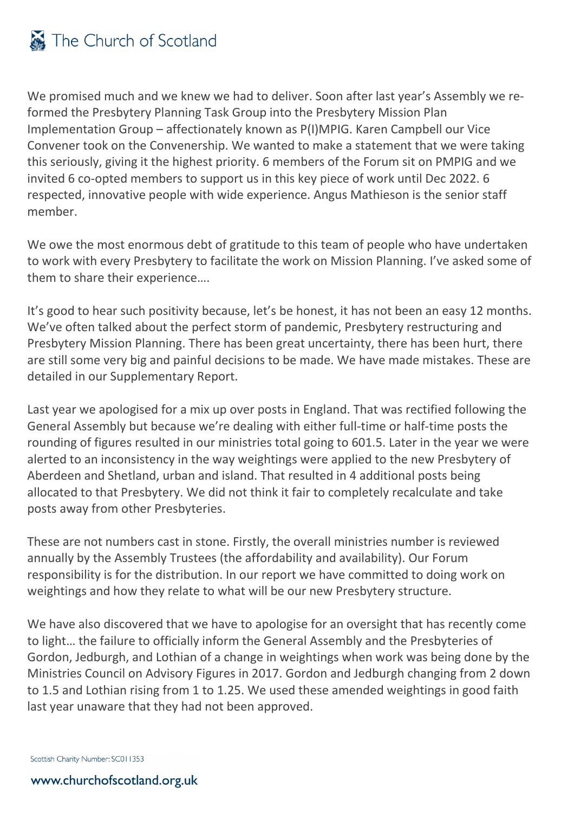

We promised much and we knew we had to deliver. Soon after last year's Assembly we reformed the Presbytery Planning Task Group into the Presbytery Mission Plan Implementation Group – affectionately known as P(I)MPIG. Karen Campbell our Vice Convener took on the Convenership. We wanted to make a statement that we were taking this seriously, giving it the highest priority. 6 members of the Forum sit on PMPIG and we invited 6 co-opted members to support us in this key piece of work until Dec 2022. 6 respected, innovative people with wide experience. Angus Mathieson is the senior staff member.

We owe the most enormous debt of gratitude to this team of people who have undertaken to work with every Presbytery to facilitate the work on Mission Planning. I've asked some of them to share their experience….

It's good to hear such positivity because, let's be honest, it has not been an easy 12 months. We've often talked about the perfect storm of pandemic, Presbytery restructuring and Presbytery Mission Planning. There has been great uncertainty, there has been hurt, there are still some very big and painful decisions to be made. We have made mistakes. These are detailed in our Supplementary Report.

Last year we apologised for a mix up over posts in England. That was rectified following the General Assembly but because we're dealing with either full-time or half-time posts the rounding of figures resulted in our ministries total going to 601.5. Later in the year we were alerted to an inconsistency in the way weightings were applied to the new Presbytery of Aberdeen and Shetland, urban and island. That resulted in 4 additional posts being allocated to that Presbytery. We did not think it fair to completely recalculate and take posts away from other Presbyteries.

These are not numbers cast in stone. Firstly, the overall ministries number is reviewed annually by the Assembly Trustees (the affordability and availability). Our Forum responsibility is for the distribution. In our report we have committed to doing work on weightings and how they relate to what will be our new Presbytery structure.

We have also discovered that we have to apologise for an oversight that has recently come to light… the failure to officially inform the General Assembly and the Presbyteries of Gordon, Jedburgh, and Lothian of a change in weightings when work was being done by the Ministries Council on Advisory Figures in 2017. Gordon and Jedburgh changing from 2 down to 1.5 and Lothian rising from 1 to 1.25. We used these amended weightings in good faith last year unaware that they had not been approved.

Scottish Charity Number: SC011353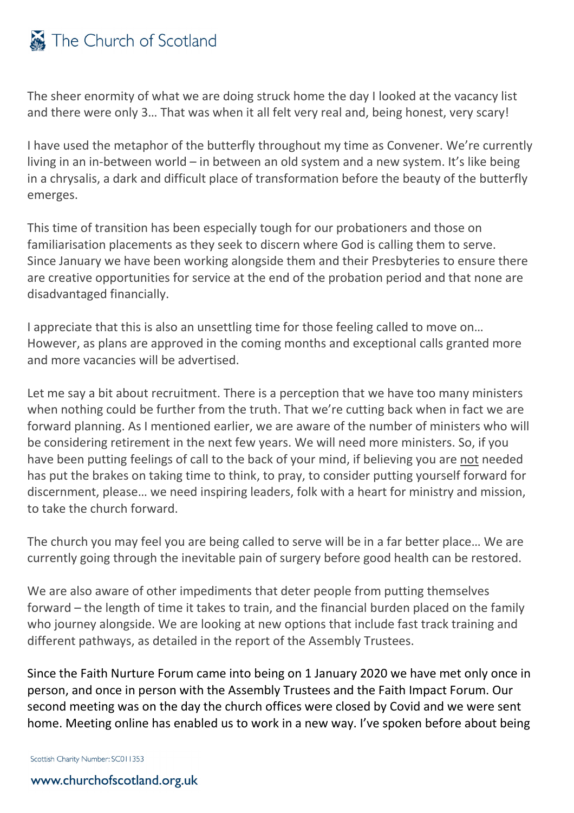## The Church of Scotland

The sheer enormity of what we are doing struck home the day I looked at the vacancy list and there were only 3… That was when it all felt very real and, being honest, very scary!

I have used the metaphor of the butterfly throughout my time as Convener. We're currently living in an in-between world – in between an old system and a new system. It's like being in a chrysalis, a dark and difficult place of transformation before the beauty of the butterfly emerges.

This time of transition has been especially tough for our probationers and those on familiarisation placements as they seek to discern where God is calling them to serve. Since January we have been working alongside them and their Presbyteries to ensure there are creative opportunities for service at the end of the probation period and that none are disadvantaged financially.

I appreciate that this is also an unsettling time for those feeling called to move on… However, as plans are approved in the coming months and exceptional calls granted more and more vacancies will be advertised.

Let me say a bit about recruitment. There is a perception that we have too many ministers when nothing could be further from the truth. That we're cutting back when in fact we are forward planning. As I mentioned earlier, we are aware of the number of ministers who will be considering retirement in the next few years. We will need more ministers. So, if you have been putting feelings of call to the back of your mind, if believing you are not needed has put the brakes on taking time to think, to pray, to consider putting yourself forward for discernment, please… we need inspiring leaders, folk with a heart for ministry and mission, to take the church forward.

The church you may feel you are being called to serve will be in a far better place… We are currently going through the inevitable pain of surgery before good health can be restored.

We are also aware of other impediments that deter people from putting themselves forward – the length of time it takes to train, and the financial burden placed on the family who journey alongside. We are looking at new options that include fast track training and different pathways, as detailed in the report of the Assembly Trustees.

Since the Faith Nurture Forum came into being on 1 January 2020 we have met only once in person, and once in person with the Assembly Trustees and the Faith Impact Forum. Our second meeting was on the day the church offices were closed by Covid and we were sent home. Meeting online has enabled us to work in a new way. I've spoken before about being

Scottish Charity Number: SC011353